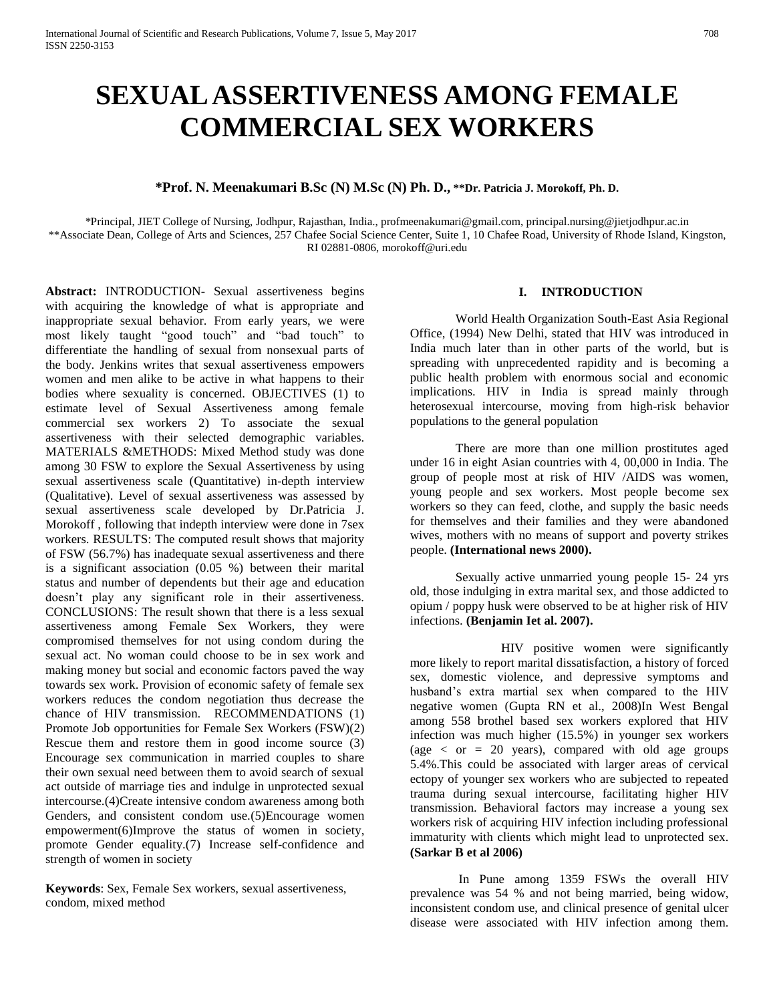# **SEXUAL ASSERTIVENESS AMONG FEMALE COMMERCIAL SEX WORKERS**

## **\*Prof. N. Meenakumari B.Sc (N) M.Sc (N) Ph. D., \*\*Dr. Patricia J. Morokoff, Ph. D.**

\*Principal, JIET College of Nursing, Jodhpur, Rajasthan, India., [profmeenakumari@gmail.com,](mailto:profmeenakumari@gmail.com) [principal.nursing@jietjodhpur.ac.in](mailto:principal.nursing@jietjodhpur.ac.in) \*\*Associate Dean, College of Arts and Sciences, 257 Chafee Social Science Center, Suite 1, 10 Chafee Road, University of Rhode Island, Kingston, RI 02881-0806, [morokoff@uri.edu](mailto:morokoff@uri.edu)

**Abstract:** INTRODUCTION- Sexual assertiveness begins with acquiring the knowledge of what is appropriate and inappropriate sexual behavior. From early years, we were most likely taught "good touch" and "bad touch" to differentiate the handling of sexual from nonsexual parts of the body. Jenkins writes that sexual assertiveness empowers women and men alike to be active in what happens to their bodies where sexuality is concerned. OBJECTIVES (1) to estimate level of Sexual Assertiveness among female commercial sex workers 2) To associate the sexual assertiveness with their selected demographic variables. MATERIALS &METHODS: Mixed Method study was done among 30 FSW to explore the Sexual Assertiveness by using sexual assertiveness scale (Quantitative) in-depth interview (Qualitative). Level of sexual assertiveness was assessed by sexual assertiveness scale developed by Dr.Patricia J. Morokoff , following that indepth interview were done in 7sex workers. RESULTS: The computed result shows that majority of FSW (56.7%) has inadequate sexual assertiveness and there is a significant association (0.05 %) between their marital status and number of dependents but their age and education doesn't play any significant role in their assertiveness. CONCLUSIONS: The result shown that there is a less sexual assertiveness among Female Sex Workers, they were compromised themselves for not using condom during the sexual act. No woman could choose to be in sex work and making money but social and economic factors paved the way towards sex work. Provision of economic safety of female sex workers reduces the condom negotiation thus decrease the chance of HIV transmission. RECOMMENDATIONS (1) Promote Job opportunities for Female Sex Workers (FSW)(2) Rescue them and restore them in good income source (3) Encourage sex communication in married couples to share their own sexual need between them to avoid search of sexual act outside of marriage ties and indulge in unprotected sexual intercourse.(4)Create intensive condom awareness among both Genders, and consistent condom use.(5)Encourage women empowerment(6)Improve the status of women in society, promote Gender equality.(7) Increase self-confidence and strength of women in society

**Keywords**: Sex, Female Sex workers, sexual assertiveness, condom, mixed method

## **I. INTRODUCTION**

World Health Organization South-East Asia Regional Office, (1994) New Delhi, stated that HIV was introduced in India much later than in other parts of the world, but is spreading with unprecedented rapidity and is becoming a public health problem with enormous social and economic implications. HIV in India is spread mainly through heterosexual intercourse, moving from high-risk behavior populations to the general population

There are more than one million prostitutes aged under 16 in eight Asian countries with 4, 00,000 in India. The group of people most at risk of HIV /AIDS was women, young people and sex workers. Most people become sex workers so they can feed, clothe, and supply the basic needs for themselves and their families and they were abandoned wives, mothers with no means of support and poverty strikes people. **(International news 2000).**

Sexually active unmarried young people 15- 24 yrs old, those indulging in extra marital sex, and those addicted to opium / poppy husk were observed to be at higher risk of HIV infections. **(Benjamin Iet al. 2007).**

HIV positive women were significantly more likely to report marital dissatisfaction, a history of forced sex, domestic violence, and depressive symptoms and husband's extra martial sex when compared to the HIV negative women (Gupta RN et al., 2008)In West Bengal among 558 brothel based sex workers explored that HIV infection was much higher (15.5%) in younger sex workers (age  $\langle$  or  $= 20$  years), compared with old age groups 5.4%.This could be associated with larger areas of cervical ectopy of younger sex workers who are subjected to repeated trauma during sexual intercourse, facilitating higher HIV transmission. Behavioral factors may increase a young sex workers risk of acquiring HIV infection including professional immaturity with clients which might lead to unprotected sex. **(Sarkar B et al 2006)**

In Pune among 1359 FSWs the overall HIV prevalence was 54 % and not being married, being widow, inconsistent condom use, and clinical presence of genital ulcer disease were associated with HIV infection among them.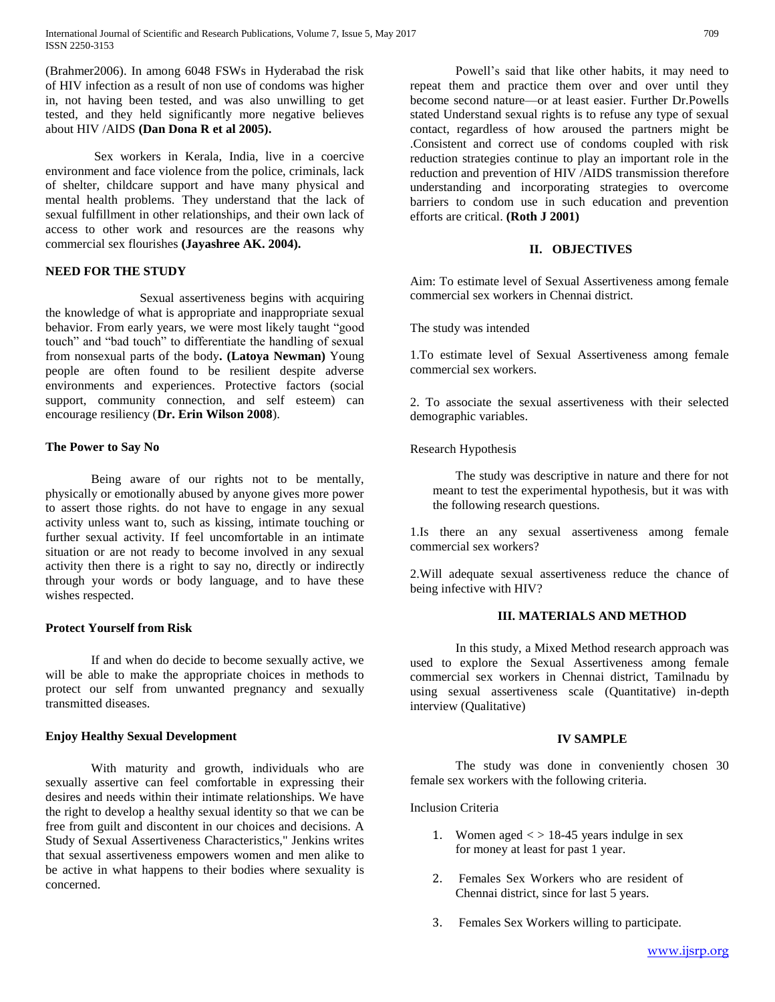International Journal of Scientific and Research Publications, Volume 7, Issue 5, May 2017 709 ISSN 2250-3153

(Brahmer2006). In among 6048 FSWs in Hyderabad the risk of HIV infection as a result of non use of condoms was higher in, not having been tested, and was also unwilling to get tested, and they held significantly more negative believes about HIV /AIDS **(Dan Dona R et al 2005).**

Sex workers in Kerala, India, live in a coercive environment and face violence from the police, criminals, lack of shelter, childcare support and have many physical and mental health problems. They understand that the lack of sexual fulfillment in other relationships, and their own lack of access to other work and resources are the reasons why commercial sex flourishes **(Jayashree AK. 2004).**

## **NEED FOR THE STUDY**

Sexual assertiveness begins with acquiring the knowledge of what is appropriate and inappropriate sexual behavior. From early years, we were most likely taught "good touch" and "bad touch" to differentiate the handling of sexual from nonsexual parts of the body**. (Latoya Newman)** Young people are often found to be resilient despite adverse environments and experiences. Protective factors (social support, community connection, and self esteem) can encourage resiliency (**Dr. Erin Wilson 2008**).

#### **The Power to Say No**

Being aware of our rights not to be mentally, physically or emotionally abused by anyone gives more power to assert those rights. do not have to engage in any sexual activity unless want to, such as kissing, intimate touching or further sexual activity. If feel uncomfortable in an intimate situation or are not ready to become involved in any sexual activity then there is a right to say no, directly or indirectly through your words or body language, and to have these wishes respected.

#### **Protect Yourself from Risk**

If and when do decide to become sexually active, we will be able to make the appropriate choices in methods to protect our self from unwanted pregnancy and sexually transmitted diseases.

#### **Enjoy Healthy Sexual Development**

With maturity and growth, individuals who are sexually assertive can feel comfortable in expressing their desires and needs within their intimate relationships. We have the right to develop a healthy sexual identity so that we can be free from guilt and discontent in our choices and decisions. A Study of Sexual Assertiveness Characteristics," Jenkins writes that sexual assertiveness empowers women and men alike to be active in what happens to their bodies where sexuality is concerned.

Powell's said that like other habits, it may need to repeat them and practice them over and over until they become second [nature—](https://www.psychologytoday.com/basics/environment)or at least easier. Further Dr.Powells stated Understand sexual rights is to refuse any type of sexual contact, regardless of how aroused the partners might be .Consistent and correct use of condoms coupled with risk reduction strategies continue to play an important role in the reduction and prevention of HIV /AIDS transmission therefore understanding and incorporating strategies to overcome barriers to condom use in such education and prevention efforts are critical. **(Roth J 2001)**

## **II. OBJECTIVES**

Aim: To estimate level of Sexual Assertiveness among female commercial sex workers in Chennai district.

The study was intended

1.To estimate level of Sexual Assertiveness among female commercial sex workers.

2. To associate the sexual assertiveness with their selected demographic variables.

#### Research Hypothesis

The study was descriptive in nature and there for not meant to test the experimental hypothesis, but it was with the following research questions.

1.Is there an any sexual assertiveness among female commercial sex workers?

2.Will adequate sexual assertiveness reduce the chance of being infective with HIV?

## **III. MATERIALS AND METHOD**

In this study, a Mixed Method research approach was used to explore the Sexual Assertiveness among female commercial sex workers in Chennai district, Tamilnadu by using sexual assertiveness scale (Quantitative) in-depth interview (Qualitative)

#### **IV SAMPLE**

The study was done in conveniently chosen 30 female sex workers with the following criteria.

Inclusion Criteria

- 1. Women aged  $\langle \rangle$  18-45 years indulge in sex for money at least for past 1 year.
- 2. Females Sex Workers who are resident of Chennai district, since for last 5 years.
- 3. Females Sex Workers willing to participate.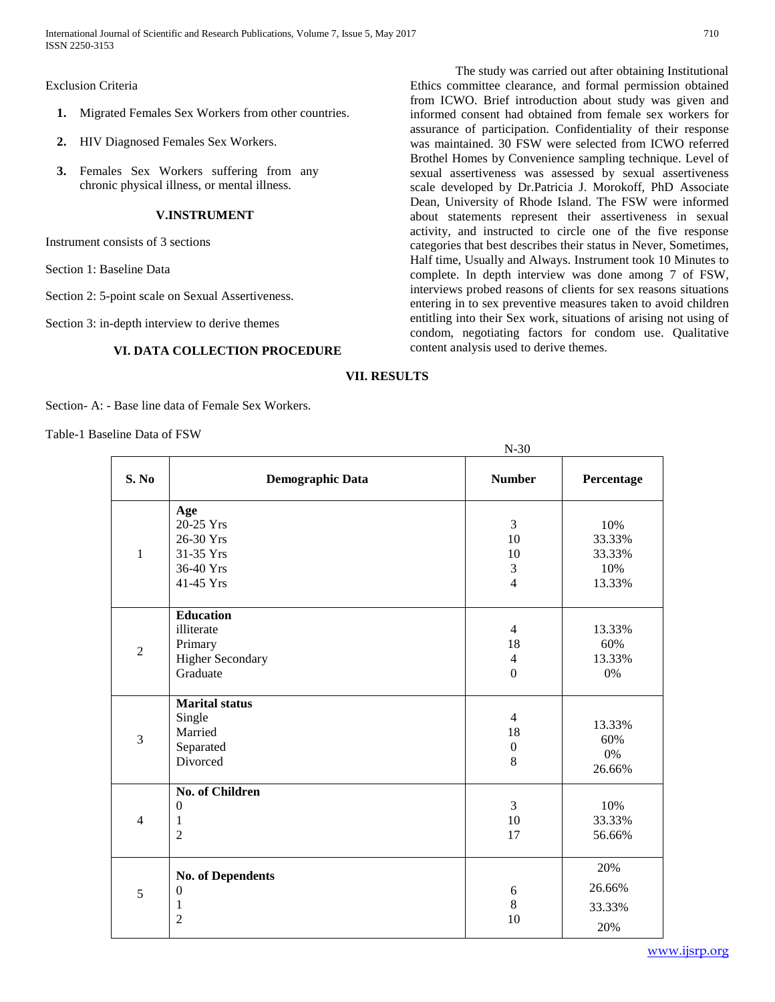International Journal of Scientific and Research Publications, Volume 7, Issue 5, May 2017 710 ISSN 2250-3153

#### Exclusion Criteria

- **1.** Migrated Females Sex Workers from other countries.
- **2.** HIV Diagnosed Females Sex Workers.
- **3.** Females Sex Workers suffering from any chronic physical illness, or mental illness.

#### **V.INSTRUMENT**

Instrument consists of 3 sections

- Section 1: Baseline Data
- Section 2: 5-point scale on Sexual Assertiveness.
- Section 3: in-depth interview to derive themes

#### **VI. DATA COLLECTION PROCEDURE**

N-30

The study was carried out after obtaining Institutional Ethics committee clearance, and formal permission obtained from ICWO. Brief introduction about study was given and informed consent had obtained from female sex workers for assurance of participation. Confidentiality of their response was maintained. 30 FSW were selected from ICWO referred Brothel Homes by Convenience sampling technique. Level of sexual assertiveness was assessed by sexual assertiveness scale developed by Dr.Patricia J. Morokoff, PhD Associate Dean, University of Rhode Island. The FSW were informed about statements represent their assertiveness in sexual activity, and instructed to circle one of the five response categories that best describes their status in Never, Sometimes, Half time, Usually and Always. Instrument took 10 Minutes to complete. In depth interview was done among 7 of FSW, interviews probed reasons of clients for sex reasons situations entering in to sex preventive measures taken to avoid children entitling into their Sex work, situations of arising not using of condom, negotiating factors for condom use. Qualitative content analysis used to derive themes.

## **VII. RESULTS**

Section- A: - Base line data of Female Sex Workers.

Table-1 Baseline Data of FSW

| S. No          | <b>Demographic Data</b>                                                          | <b>Number</b>                                              | Percentage                               |
|----------------|----------------------------------------------------------------------------------|------------------------------------------------------------|------------------------------------------|
| $\mathbf{1}$   | Age<br>20-25 Yrs<br>26-30 Yrs<br>31-35 Yrs<br>36-40 Yrs<br>41-45 Yrs             | 3<br>10<br>10<br>$\mathfrak{Z}$<br>$\overline{4}$          | 10%<br>33.33%<br>33.33%<br>10%<br>13.33% |
| $\overline{2}$ | <b>Education</b><br>illiterate<br>Primary<br><b>Higher Secondary</b><br>Graduate | $\overline{4}$<br>18<br>$\overline{4}$<br>$\boldsymbol{0}$ | 13.33%<br>60%<br>13.33%<br>0%            |
| 3              | <b>Marital</b> status<br>Single<br>Married<br>Separated<br>Divorced              | $\overline{4}$<br>18<br>$\boldsymbol{0}$<br>8              | 13.33%<br>60%<br>0%<br>26.66%            |
| $\overline{4}$ | <b>No. of Children</b><br>$\mathbf{0}$<br>1<br>$\overline{2}$                    | 3<br>10<br>17                                              | 10%<br>33.33%<br>56.66%                  |
| 5              | <b>No. of Dependents</b><br>$\boldsymbol{0}$<br>1<br>$\overline{2}$              | $\sqrt{6}$<br>8<br>10                                      | 20%<br>26.66%<br>33.33%<br>20%           |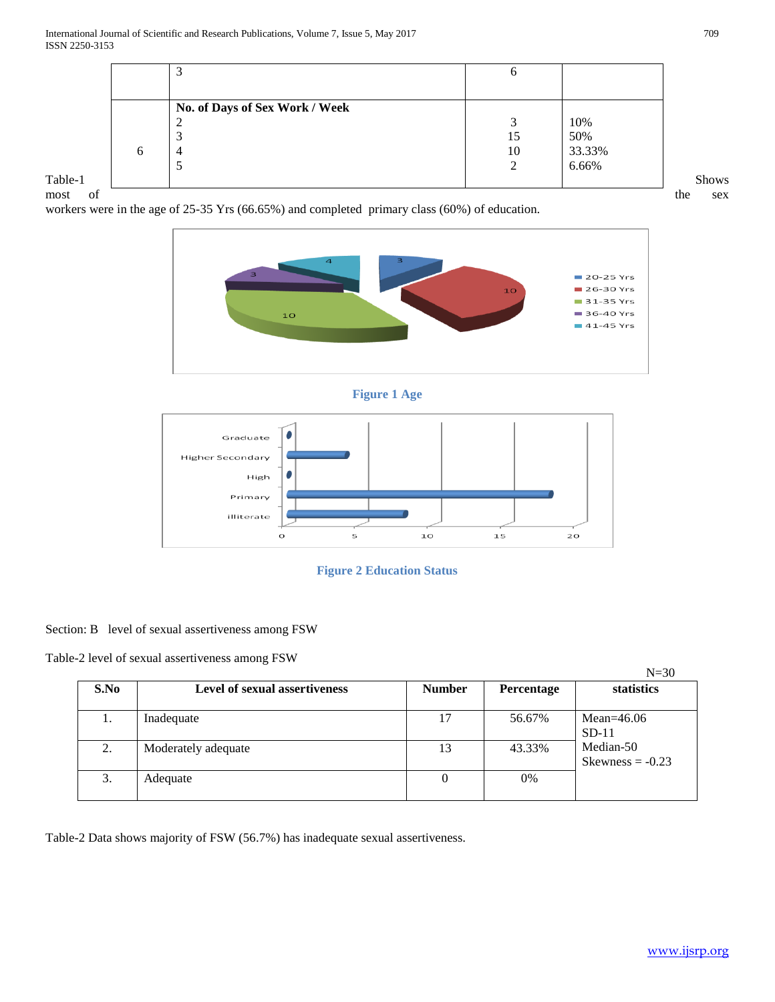|         |   | سه                             | O      |        |              |
|---------|---|--------------------------------|--------|--------|--------------|
|         |   |                                |        |        |              |
|         |   | No. of Days of Sex Work / Week |        |        |              |
|         |   | ∠                              |        | 10%    |              |
|         |   |                                | 15     | 50%    |              |
|         | O | 4                              | 10     | 33.33% |              |
|         |   |                                | ◠<br>∠ | 6.66%  |              |
| Table-1 |   |                                |        |        | <b>Shows</b> |

most of the sex

workers were in the age of 25-35 Yrs (66.65%) and completed primary class (60%) of education.









# Section: B level of sexual assertiveness among FSW

Table-2 level of sexual assertiveness among FSW

|      |                               |               |            | $N=30$                          |
|------|-------------------------------|---------------|------------|---------------------------------|
| S.No | Level of sexual assertiveness | <b>Number</b> | Percentage | statistics                      |
| ı.   | Inadequate                    | 17            | 56.67%     | Mean= $46.06$<br>$SD-11$        |
| 2.   | Moderately adequate           | 13            | 43.33%     | Median-50<br>Skewness $= -0.23$ |
| 3.   | Adequate                      | 0             | $0\%$      |                                 |

Table-2 Data shows majority of FSW (56.7%) has inadequate sexual assertiveness.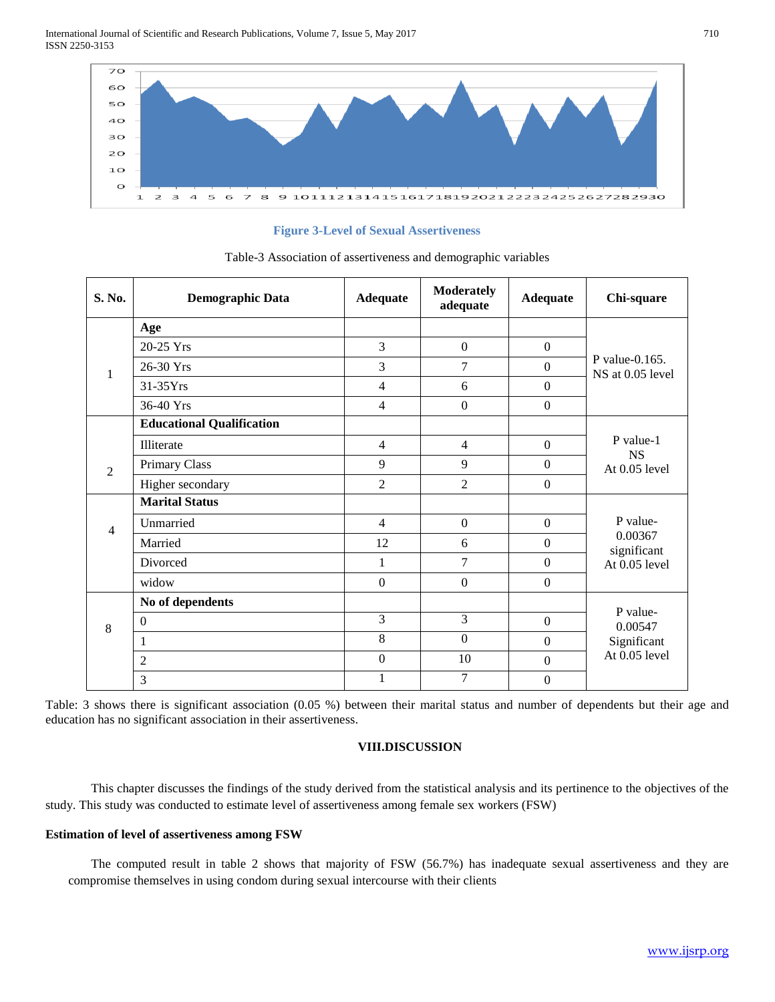International Journal of Scientific and Research Publications, Volume 7, Issue 5, May 2017 710 ISSN 2250-3153



**Figure 3-Level of Sexual Assertiveness**

| S. No.         | <b>Demographic Data</b>          | <b>Adequate</b>  | <b>Moderately</b><br>adequate | <b>Adequate</b>  | Chi-square                                          |  |
|----------------|----------------------------------|------------------|-------------------------------|------------------|-----------------------------------------------------|--|
| 1              | Age                              |                  |                               |                  | P value- $0.165$ .<br>NS at 0.05 level              |  |
|                | 20-25 Yrs                        | 3                | $\overline{0}$                | $\boldsymbol{0}$ |                                                     |  |
|                | 26-30 Yrs                        | 3                | 7                             | $\overline{0}$   |                                                     |  |
|                | 31-35Yrs                         | $\overline{4}$   | 6                             | $\boldsymbol{0}$ |                                                     |  |
|                | 36-40 Yrs                        | 4                | $\boldsymbol{0}$              | $\overline{0}$   |                                                     |  |
|                | <b>Educational Qualification</b> |                  |                               |                  |                                                     |  |
| $\overline{2}$ | Illiterate                       | $\overline{4}$   | $\overline{4}$                | $\mathbf{0}$     | P value-1<br><b>NS</b><br>At $0.05$ level           |  |
|                | Primary Class                    | 9                | 9                             | $\boldsymbol{0}$ |                                                     |  |
|                | Higher secondary                 | $\overline{2}$   | $\overline{2}$                | $\boldsymbol{0}$ |                                                     |  |
|                | <b>Marital Status</b>            |                  |                               |                  | P value-<br>0.00367<br>significant<br>At 0.05 level |  |
| $\overline{4}$ | Unmarried                        | $\overline{4}$   | $\boldsymbol{0}$              | $\overline{0}$   |                                                     |  |
|                | Married                          | 12               | 6                             | $\boldsymbol{0}$ |                                                     |  |
|                | Divorced                         | 1                | 7                             | $\Omega$         |                                                     |  |
|                | widow                            | $\boldsymbol{0}$ | $\boldsymbol{0}$              | $\overline{0}$   |                                                     |  |
| 8              | No of dependents                 |                  |                               |                  | P value-                                            |  |
|                | $\boldsymbol{0}$                 | 3                | 3                             | $\mathbf{0}$     | 0.00547                                             |  |
|                | 1                                | 8                | $\mathbf{0}$                  | $\boldsymbol{0}$ | Significant                                         |  |
|                | $\overline{c}$                   | $\mathbf{0}$     | 10                            | $\overline{0}$   | At 0.05 level                                       |  |
|                | 3                                | $\mathbf{1}$     | 7                             | $\Omega$         |                                                     |  |

Table-3 Association of assertiveness and demographic variables

Table: 3 shows there is significant association (0.05 %) between their marital status and number of dependents but their age and education has no significant association in their assertiveness.

# **VIII.DISCUSSION**

This chapter discusses the findings of the study derived from the statistical analysis and its pertinence to the objectives of the study. This study was conducted to estimate level of assertiveness among female sex workers (FSW)

## **Estimation of level of assertiveness among FSW**

The computed result in table 2 shows that majority of FSW (56.7%) has inadequate sexual assertiveness and they are compromise themselves in using condom during sexual intercourse with their clients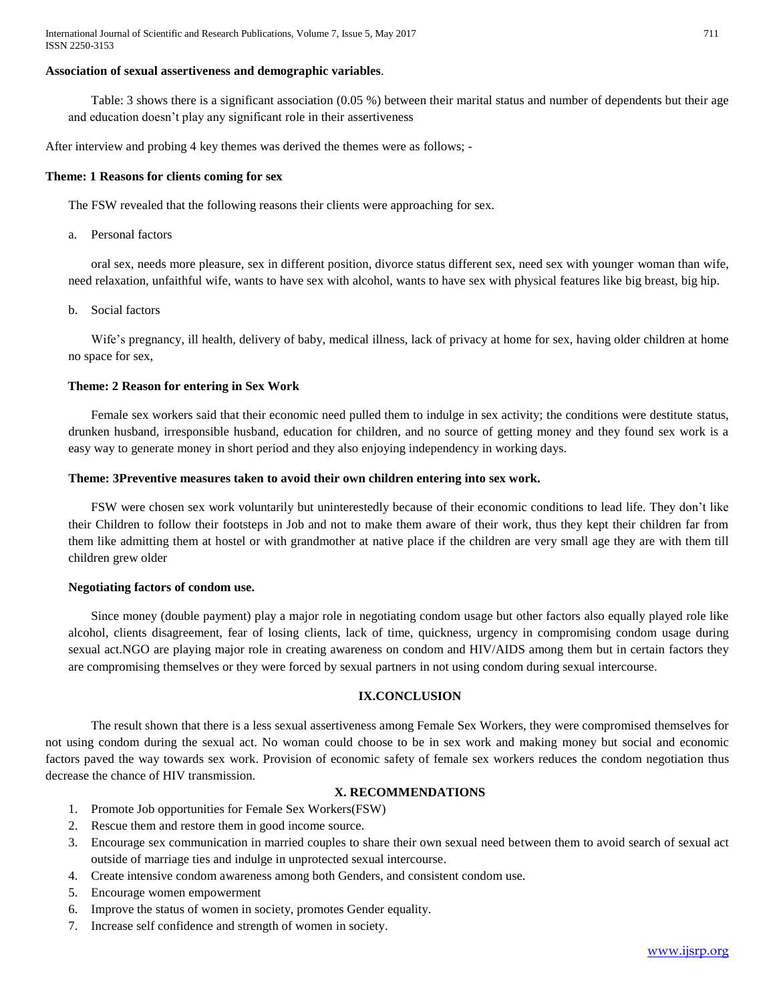#### **Association of sexual assertiveness and demographic variables**.

Table: 3 shows there is a significant association (0.05 %) between their marital status and number of dependents but their age and education doesn't play any significant role in their assertiveness

After interview and probing 4 key themes was derived the themes were as follows; -

#### **Theme: 1 Reasons for clients coming for sex**

The FSW revealed that the following reasons their clients were approaching for sex.

a. Personal factors

oral sex, needs more pleasure, sex in different position, divorce status different sex, need sex with younger woman than wife, need relaxation, unfaithful wife, wants to have sex with alcohol, wants to have sex with physical features like big breast, big hip.

b. Social factors

Wife's pregnancy, ill health, delivery of baby, medical illness, lack of privacy at home for sex, having older children at home no space for sex,

## **Theme: 2 Reason for entering in Sex Work**

Female sex workers said that their economic need pulled them to indulge in sex activity; the conditions were destitute status, drunken husband, irresponsible husband, education for children, and no source of getting money and they found sex work is a easy way to generate money in short period and they also enjoying independency in working days.

#### **Theme: 3Preventive measures taken to avoid their own children entering into sex work.**

FSW were chosen sex work voluntarily but uninterestedly because of their economic conditions to lead life. They don't like their Children to follow their footsteps in Job and not to make them aware of their work, thus they kept their children far from them like admitting them at hostel or with grandmother at native place if the children are very small age they are with them till children grew older

#### **Negotiating factors of condom use.**

Since money (double payment) play a major role in negotiating condom usage but other factors also equally played role like alcohol, clients disagreement, fear of losing clients, lack of time, quickness, urgency in compromising condom usage during sexual act.NGO are playing major role in creating awareness on condom and HIV/AIDS among them but in certain factors they are compromising themselves or they were forced by sexual partners in not using condom during sexual intercourse.

# **IX.CONCLUSION**

The result shown that there is a less sexual assertiveness among Female Sex Workers, they were compromised themselves for not using condom during the sexual act. No woman could choose to be in sex work and making money but social and economic factors paved the way towards sex work. Provision of economic safety of female sex workers reduces the condom negotiation thus decrease the chance of HIV transmission.

## **X. RECOMMENDATIONS**

- 1. Promote Job opportunities for Female Sex Workers(FSW)
- 2. Rescue them and restore them in good income source.
- 3. Encourage sex communication in married couples to share their own sexual need between them to avoid search of sexual act outside of marriage ties and indulge in unprotected sexual intercourse.
- 4. Create intensive condom awareness among both Genders, and consistent condom use.
- 5. Encourage women empowerment
- 6. Improve the status of women in society, promotes Gender equality.
- 7. Increase self confidence and strength of women in society.